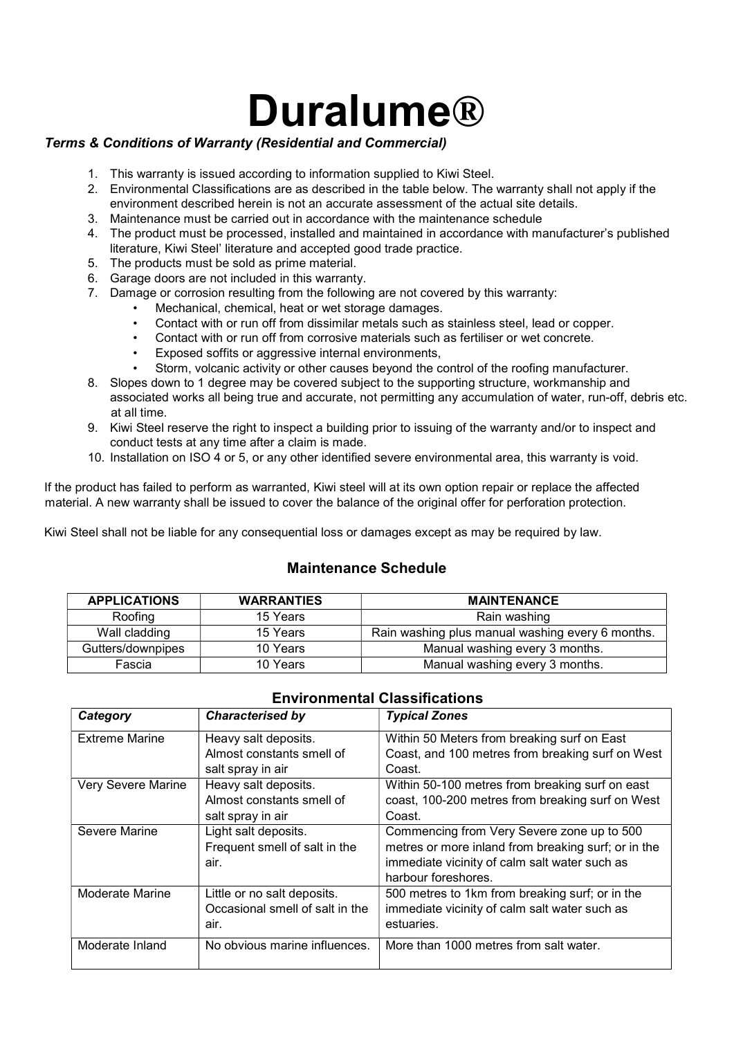## Duralume®

## Terms & Conditions of Warranty (Residential and Commercial)

- 1. This warranty is issued according to information supplied to Kiwi Steel.
- 2. Environmental Classifications are as described in the table below. The warranty shall not apply if the environment described herein is not an accurate assessment of the actual site details.
- 3. Maintenance must be carried out in accordance with the maintenance schedule
- 4. The product must be processed, installed and maintained in accordance with manufacturer's published literature, Kiwi Steel' literature and accepted good trade practice.
- 5. The products must be sold as prime material.
- 6. Garage doors are not included in this warranty.
- 7. Damage or corrosion resulting from the following are not covered by this warranty:
	- Mechanical, chemical, heat or wet storage damages.
	- Contact with or run off from dissimilar metals such as stainless steel, lead or copper.
	- Contact with or run off from corrosive materials such as fertiliser or wet concrete.
	- Exposed soffits or aggressive internal environments,
	- Storm, volcanic activity or other causes beyond the control of the roofing manufacturer.
- 8. Slopes down to 1 degree may be covered subject to the supporting structure, workmanship and associated works all being true and accurate, not permitting any accumulation of water, run-off, debris etc. at all time.
- 9. Kiwi Steel reserve the right to inspect a building prior to issuing of the warranty and/or to inspect and conduct tests at any time after a claim is made.
- 10. Installation on ISO 4 or 5, or any other identified severe environmental area, this warranty is void.

If the product has failed to perform as warranted, Kiwi steel will at its own option repair or replace the affected material. A new warranty shall be issued to cover the balance of the original offer for perforation protection.

Kiwi Steel shall not be liable for any consequential loss or damages except as may be required by law.

## Maintenance Schedule

| <b>APPLICATIONS</b> | <b>WARRANTIES</b> | <b>MAINTENANCE</b>                               |
|---------------------|-------------------|--------------------------------------------------|
| Roofing             | 15 Years          | Rain washing                                     |
| Wall cladding       | 15 Years          | Rain washing plus manual washing every 6 months. |
| Gutters/downpipes   | 10 Years          | Manual washing every 3 months.                   |
| Fascia              | 10 Years          | Manual washing every 3 months.                   |

| Category              | <b>Characterised by</b>         | <b>Typical Zones</b>                                |
|-----------------------|---------------------------------|-----------------------------------------------------|
| <b>Extreme Marine</b> | Heavy salt deposits.            | Within 50 Meters from breaking surf on East         |
|                       | Almost constants smell of       | Coast, and 100 metres from breaking surf on West    |
|                       | salt spray in air               | Coast.                                              |
| Very Severe Marine    | Heavy salt deposits.            | Within 50-100 metres from breaking surf on east     |
|                       | Almost constants smell of       | coast, 100-200 metres from breaking surf on West    |
|                       | salt spray in air               | Coast.                                              |
| Severe Marine         | Light salt deposits.            | Commencing from Very Severe zone up to 500          |
|                       | Frequent smell of salt in the   | metres or more inland from breaking surf; or in the |
|                       | air.                            | immediate vicinity of calm salt water such as       |
|                       |                                 | harbour foreshores.                                 |
| Moderate Marine       | Little or no salt deposits.     | 500 metres to 1km from breaking surf; or in the     |
|                       | Occasional smell of salt in the | immediate vicinity of calm salt water such as       |
|                       | air.                            | estuaries.                                          |
| Moderate Inland       | No obvious marine influences.   | More than 1000 metres from salt water.              |
|                       |                                 |                                                     |

## Environmental Classifications